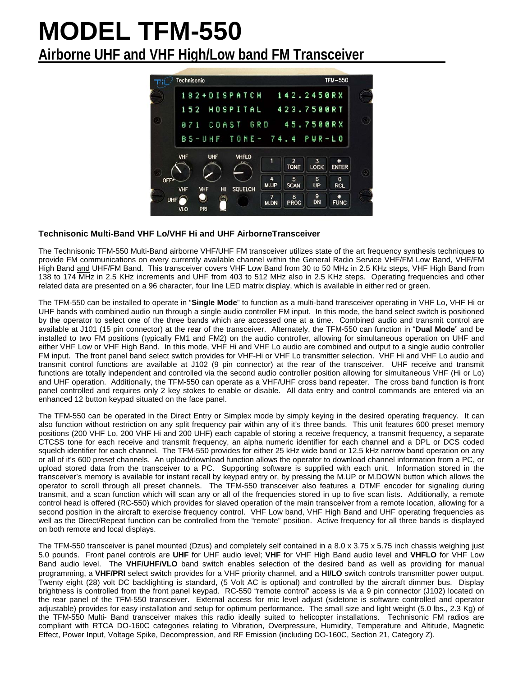# **MODEL TFM-550 Airborne UHF and VHF High/Low band FM Transceiver**



### **Technisonic Multi-Band VHF Lo/VHF Hi and UHF AirborneTransceiver**

The Technisonic TFM-550 Multi-Band airborne VHF/UHF FM transceiver utilizes state of the art frequency synthesis techniques to provide FM communications on every currently available channel within the General Radio Service VHF/FM Low Band, VHF/FM High Band and UHF/FM Band. This transceiver covers VHF Low Band from 30 to 50 MHz in 2.5 KHz steps, VHF High Band from 138 to 174 MHz in 2.5 KHz increments and UHF from 403 to 512 MHz also in 2.5 KHz steps. Operating frequencies and other related data are presented on a 96 character, four line LED matrix display, which is available in either red or green.

The TFM-550 can be installed to operate in "**Single Mode**" to function as a multi-band transceiver operating in VHF Lo, VHF Hi or UHF bands with combined audio run through a single audio controller FM input. In this mode, the band select switch is positioned by the operator to select one of the three bands which are accessed one at a time. Combined audio and transmit control are available at J101 (15 pin connector) at the rear of the transceiver. Alternately, the TFM-550 can function in "**Dual Mode**" and be installed to two FM positions (typically FM1 and FM2) on the audio controller, allowing for simultaneous operation on UHF and either VHF Low or VHF High Band. In this mode, VHF Hi and VHF Lo audio are combined and output to a single audio controller FM input. The front panel band select switch provides for VHF-Hi or VHF Lo transmitter selection. VHF Hi and VHF Lo audio and transmit control functions are available at J102 (9 pin connector) at the rear of the transceiver. UHF receive and transmit functions are totally independent and controlled via the second audio controller position allowing for simultaneous VHF (Hi or Lo) and UHF operation. Additionally, the TFM-550 can operate as a VHF/UHF cross band repeater. The cross band function is front panel controlled and requires only 2 key stokes to enable or disable. All data entry and control commands are entered via an enhanced 12 button keypad situated on the face panel.

The TFM-550 can be operated in the Direct Entry or Simplex mode by simply keying in the desired operating frequency. It can also function without restriction on any split frequency pair within any of it's three bands. This unit features 600 preset memory positions (200 VHF Lo, 200 VHF Hi and 200 UHF) each capable of storing a receive frequency, a transmit frequency, a separate CTCSS tone for each receive and transmit frequency, an alpha numeric identifier for each channel and a DPL or DCS coded squelch identifier for each channel. The TFM-550 provides for either 25 kHz wide band or 12.5 kHz narrow band operation on any or all of it's 600 preset channels. An upload/download function allows the operator to download channel information from a PC, or upload stored data from the transceiver to a PC. Supporting software is supplied with each unit. Information stored in the transceiver's memory is available for instant recall by keypad entry or, by pressing the M.UP or M.DOWN button which allows the operator to scroll through all preset channels. The TFM-550 transceiver also features a DTMF encoder for signaling during transmit, and a scan function which will scan any or all of the frequencies stored in up to five scan lists. Additionally, a remote control head is offered (RC-550) which provides for slaved operation of the main transceiver from a remote location, allowing for a second position in the aircraft to exercise frequency control. VHF Low band, VHF High Band and UHF operating frequencies as well as the Direct/Repeat function can be controlled from the "remote" position. Active frequency for all three bands is displayed on both remote and local displays.

The TFM-550 transceiver is panel mounted (Dzus) and completely self contained in a 8.0 x 3.75 x 5.75 inch chassis weighing just 5.0 pounds. Front panel controls are **UHF** for UHF audio level; **VHF** for VHF High Band audio level and **VHFLO** for VHF Low Band audio level. The **VHF/UHF/VLO** band switch enables selection of the desired band as well as providing for manual programming, a **VHF/PRI** select switch provides for a VHF priority channel, and a **HI/LO** switch controls transmitter power output. Twenty eight (28) volt DC backlighting is standard, (5 Volt AC is optional) and controlled by the aircraft dimmer bus. Display brightness is controlled from the front panel keypad. RC-550 "remote control" access is via a 9 pin connector (J102) located on the rear panel of the TFM-550 transceiver. External access for mic level adjust (sidetone is software controlled and operator adjustable) provides for easy installation and setup for optimum performance. The small size and light weight (5.0 lbs., 2.3 Kg) of the TFM-550 Multi- Band transceiver makes this radio ideally suited to helicopter installations. Technisonic FM radios are compliant with RTCA DO-160C categories relating to Vibration, Overpressure, Humidity, Temperature and Altitude, Magnetic Effect, Power Input, Voltage Spike, Decompression, and RF Emission (including DO-160C, Section 21, Category Z).